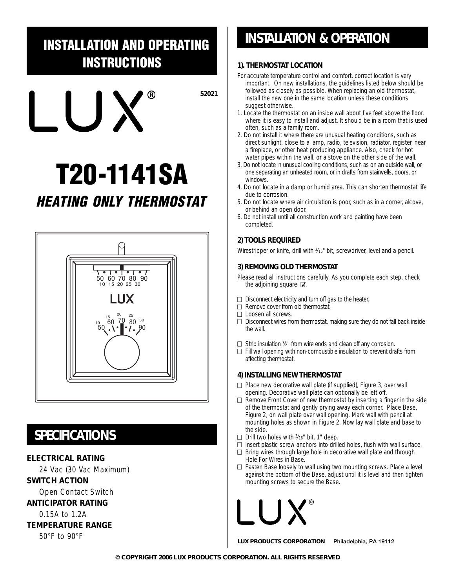## **INSTALLATION AND OPERATING INSTRUCTIONS**

**52021** ®  $\bigcup$ 

# **T20-1141SA HEATING ONLY THERMOSTAT**



## **SPECIFICATIONS**

#### **ELECTRICAL RATING**

24 Vac (30 Vac Maximum)

**SWITCH ACTION**

Open Contact Switch

#### **ANTICIPATOR RATING**

0.15A to 1.2A

#### **TEMPERATURE RANGE**

50°F to 90°F

## **INSTALLATION & OPERATION**

#### **1). THERMOSTAT LOCATION**

- For accurate temperature control and comfort, correct location is very important. On new installations, the guidelines listed below should be followed as closely as possible. When replacing an old thermostat, install the new one in the same location unless these conditions suggest otherwise.
- 1. Locate the thermostat on an inside wall about five feet above the floor, where it is easy to install and adjust. It should be in a room that is used often, such as a family room.
- 2. Do not install it where there are unusual heating conditions, such as direct sunlight, close to a lamp, radio, television, radiator, register, near a fireplace, or other heat producing appliance. Also, check for hot water pipes within the wall, or a stove on the other side of the wall.
- 3. Do not locate in unusual cooling conditions, such as on an outside wall, or one separating an unheated room, or in drafts from stairwells, doors, or windows.
- 4. Do not locate in a damp or humid area. This can shorten thermostat life due to corrosion.
- 5. Do not locate where air circulation is poor, such as in a corner, alcove, or behind an open door.
- 6. Do not install until all construction work and painting have been completed.

#### **2) TOOLS REQUIRED**

Wirestripper or knife, drill with  $3/16$ " bit, screwdriver, level and a pencil.

#### **3) REMOVING OLD THERMOSTAT**

Please read all instructions carefully. As you complete each step, check the adjoining square  $\mathbb Z$ .

- $\Box$  Disconnect electricity and turn off gas to the heater.
- $\Box$  Remove cover from old thermostat.
- □ Loosen all screws.
- $\Box$  Disconnect wires from thermostat, making sure they do not fall back inside the wall.
- $\Box$  Strip insulation  $\frac{3}{8}$ " from wire ends and clean off any corrosion.
- $\Box$  Fill wall opening with non-combustible insulation to prevent drafts from affecting thermostat.

#### **4) INSTALLING NEW THERMOSTAT**

- $\Box$  Place new decorative wall plate (if supplied), Figure 3, over wall opening. Decorative wall plate can optionally be left off.
- $\Box$  Remove Front Cover of new thermostat by inserting a finger in the side of the thermostat and gently prying away each corner. Place Base, Figure 2, on wall plate over wall opening. Mark wall with pencil at mounting holes as shown in Figure 2. Now lay wall plate and base to the side.
- $\Box$  Drill two holes with  $\frac{3}{16}$ " bit, 1" deep.
- $\Box$  Insert plastic screw anchors into drilled holes, flush with wall surface.
- $\Box$  Bring wires through large hole in decorative wall plate and through Hole For Wires in Base.
- $\Box$  Fasten Base loosely to wall using two mounting screws. Place a level against the bottom of the Base, adjust until it is level and then tighten mounting screws to secure the Base.

**LUX PRODUCTS CORPORATION** Philadelphia, PA 19112

**© COPYRIGHT 2006 LUX PRODUCTS CORPORATION. ALL RIGHTS RESERVED**